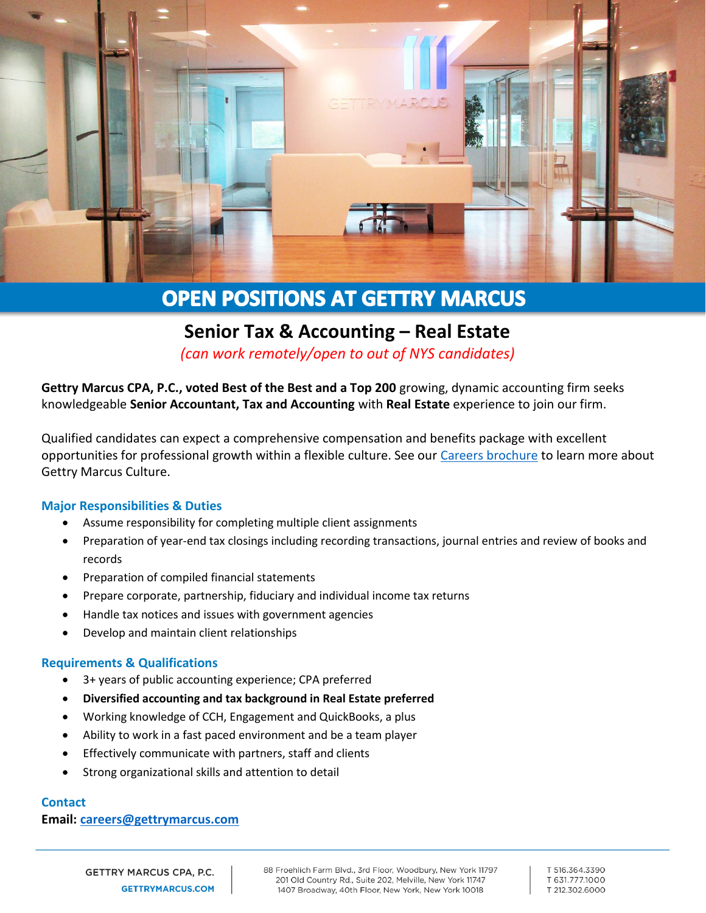

# **OPEN POSITIONS AT GETTRY MARCUS**

# **Senior Tax & Accounting – Real Estate**

*(can work remotely/open to out of NYS candidates)*

**Gettry Marcus CPA, P.C., voted Best of the Best and a Top 200** growing, dynamic accounting firm seeks knowledgeable **Senior Accountant, Tax and Accounting** with **Real Estate** experience to join our firm.

Qualified candidates can expect a comprehensive compensation and benefits package with excellent opportunities for professional growth within a flexible culture. See our [Careers brochure](http://www.gettrymarcus.net/brochure-our-vision-your-future/0688102001571768487) to learn more about Gettry Marcus Culture.

#### **Major Responsibilities & Duties**

- Assume responsibility for completing multiple client assignments
- Preparation of year-end tax closings including recording transactions, journal entries and review of books and records
- Preparation of compiled financial statements
- Prepare corporate, partnership, fiduciary and individual income tax returns
- Handle tax notices and issues with government agencies
- Develop and maintain client relationships

#### **Requirements & Qualifications**

- 3+ years of public accounting experience; CPA preferred
- **Diversified accounting and tax background in Real Estate preferred**
- Working knowledge of CCH, Engagement and QuickBooks, a plus
- Ability to work in a fast paced environment and be a team player
- Effectively communicate with partners, staff and clients
- Strong organizational skills and attention to detail

## **Contact**

## **Email: [careers@gettrymarcus.com](mailto:careers@gettrymarcus.com)**